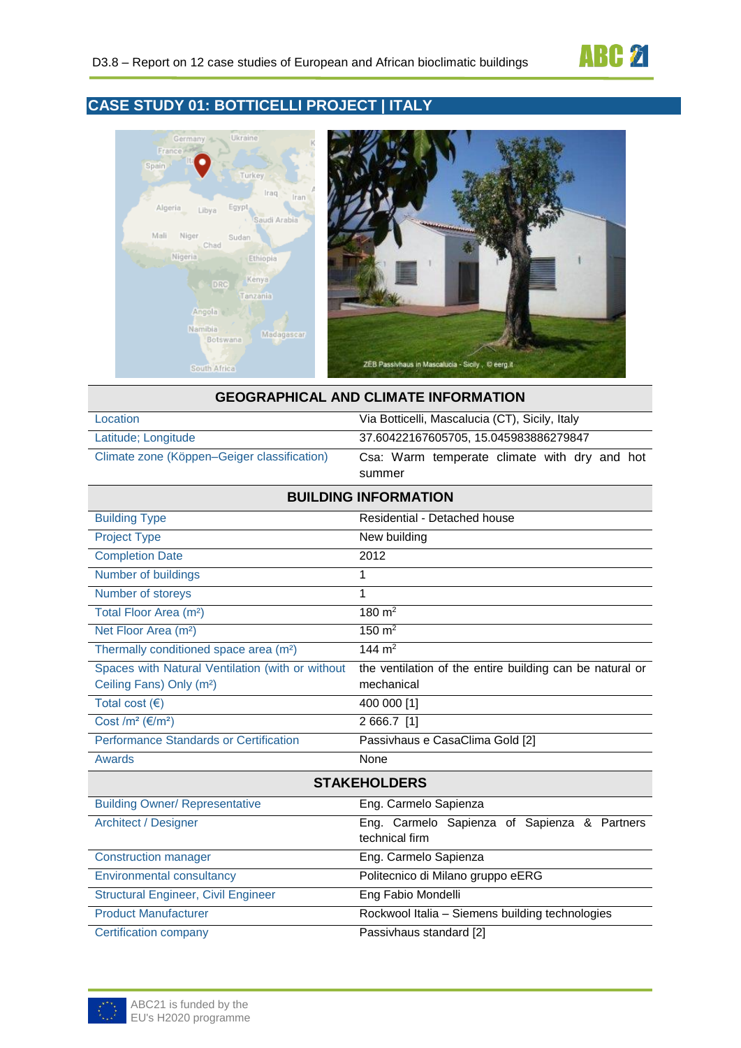

# **CASE STUDY 01: BOTTICELLI PROJECT | ITALY**



| <b>GEOGRAPHICAL AND CLIMATE INFORMATION</b> |                                                |  |  |
|---------------------------------------------|------------------------------------------------|--|--|
| Location                                    | Via Botticelli, Mascalucia (CT), Sicily, Italy |  |  |
| Latitude; Longitude                         | 37.60422167605705, 15.045983886279847          |  |  |
| Climate zone (Köppen–Geiger classification) | Csa: Warm temperate climate with dry and hot   |  |  |
| summer                                      |                                                |  |  |
| <b>DI III DINC INEODMATION</b>              |                                                |  |  |

| <b>BUILDING INFORMATION</b>                                                              |                                                                        |  |  |
|------------------------------------------------------------------------------------------|------------------------------------------------------------------------|--|--|
| <b>Building Type</b>                                                                     | Residential - Detached house                                           |  |  |
| <b>Project Type</b>                                                                      | New building                                                           |  |  |
| <b>Completion Date</b>                                                                   | 2012                                                                   |  |  |
| Number of buildings                                                                      | 1                                                                      |  |  |
| Number of storeys                                                                        | 1                                                                      |  |  |
| Total Floor Area (m <sup>2</sup> )                                                       | $180 \text{ m}^2$                                                      |  |  |
| Net Floor Area (m <sup>2</sup> )                                                         | $150 \; \text{m}^2$                                                    |  |  |
| Thermally conditioned space area (m <sup>2</sup> )                                       | 144 $m2$                                                               |  |  |
| Spaces with Natural Ventilation (with or without<br>Ceiling Fans) Only (m <sup>2</sup> ) | the ventilation of the entire building can be natural or<br>mechanical |  |  |
| Total cost $(\epsilon)$                                                                  | 400 000 [1]                                                            |  |  |
| Cost /m <sup>2</sup> ( $\varepsilon$ /m <sup>2</sup> )                                   | 2 666.7 [1]                                                            |  |  |
| Performance Standards or Certification                                                   | Passivhaus e CasaClima Gold [2]                                        |  |  |
| <b>Awards</b>                                                                            | None                                                                   |  |  |
|                                                                                          | <b>STAKEHOLDERS</b>                                                    |  |  |
| <b>Building Owner/ Representative</b>                                                    | Eng. Carmelo Sapienza                                                  |  |  |
| <b>Architect / Designer</b>                                                              | Eng. Carmelo Sapienza of Sapienza & Partners<br>technical firm         |  |  |
| <b>Construction manager</b>                                                              | Eng. Carmelo Sapienza                                                  |  |  |
| <b>Environmental consultancy</b>                                                         | Politecnico di Milano gruppo eERG                                      |  |  |
| <b>Structural Engineer, Civil Engineer</b>                                               | Eng Fabio Mondelli                                                     |  |  |
| <b>Product Manufacturer</b>                                                              | Rockwool Italia - Siemens building technologies                        |  |  |
| <b>Certification company</b>                                                             | Passivhaus standard [2]                                                |  |  |

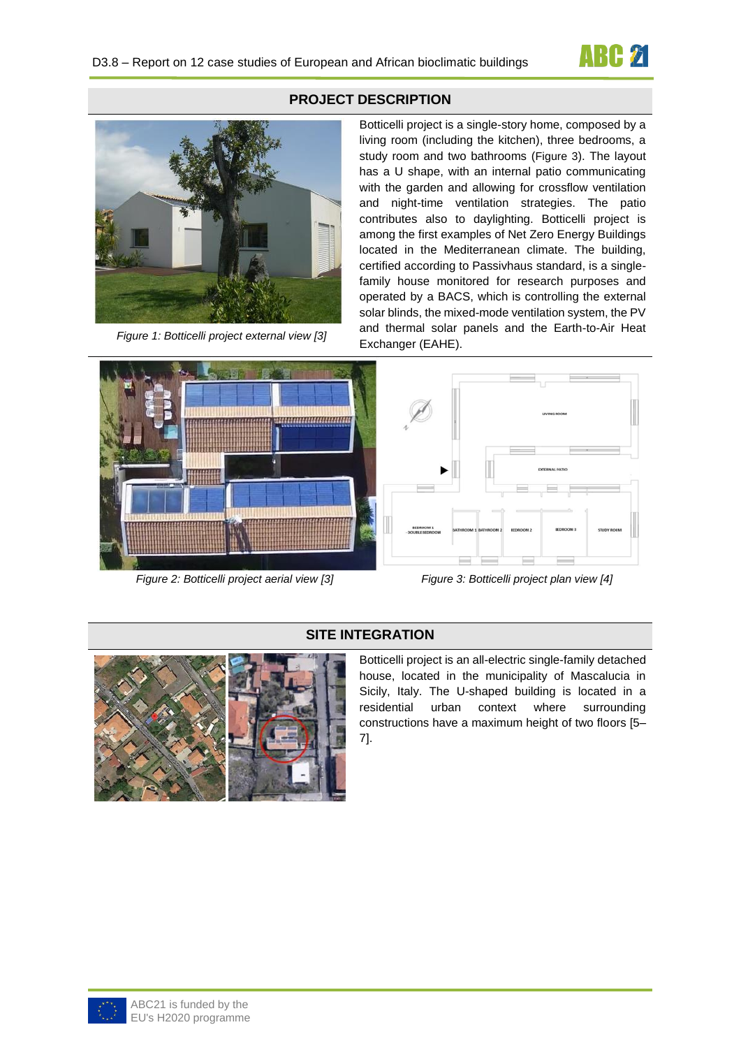



*Figure 1: Botticelli project external view [3]*



*Figure 2: Botticelli project aerial view [3] Figure 3: Botticelli project plan view [4]*

## **PROJECT DESCRIPTION**

Botticelli project is a single-story home, composed by a living room (including the kitchen), three bedrooms, a study room and two bathrooms ([Figure 3](#page-1-0)). The layout has a U shape, with an internal patio communicating with the garden and allowing for crossflow ventilation and night-time ventilation strategies. The patio contributes also to daylighting. Botticelli project is among the first examples of Net Zero Energy Buildings located in the Mediterranean climate. The building, certified according to Passivhaus standard, is a singlefamily house monitored for research purposes and operated by a BACS, which is controlling the external solar blinds, the mixed-mode ventilation system, the PV and thermal solar panels and the Earth-to-Air Heat Exchanger (EAHE).



<span id="page-1-0"></span>



### **SITE INTEGRATION**

Botticelli project is an all-electric single-family detached house, located in the municipality of Mascalucia in Sicily, Italy. The U-shaped building is located in a residential urban context where surrounding constructions have a maximum height of two floors [5– 7].

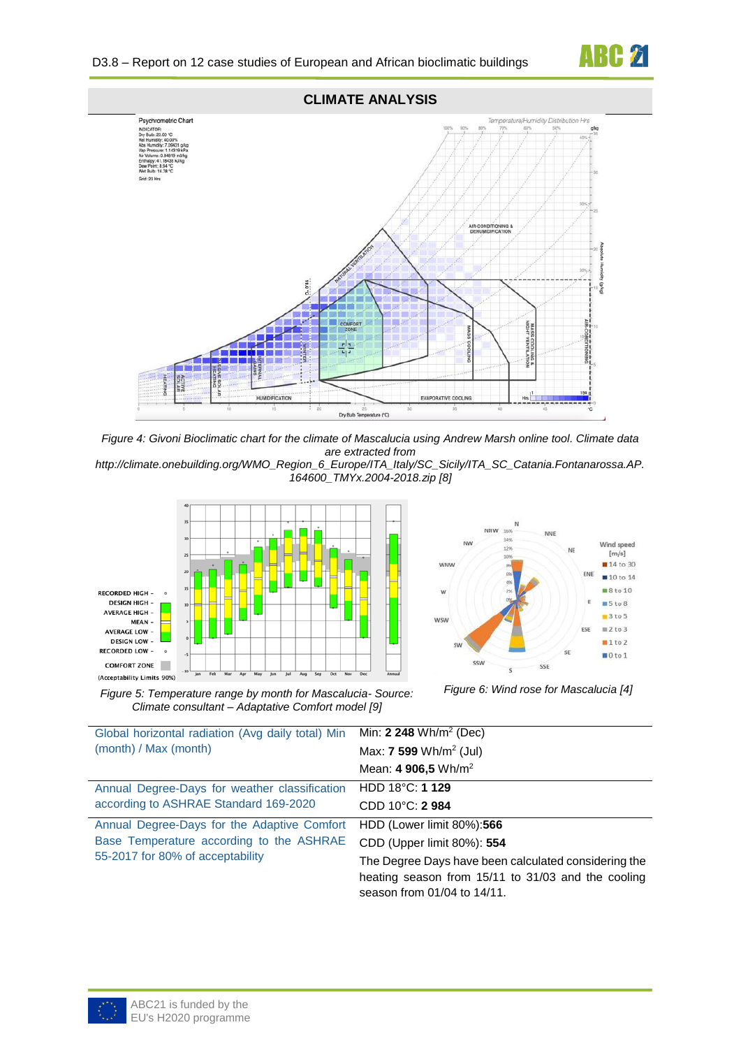



*Figure 4: Givoni Bioclimatic chart for the climate of Mascalucia using Andrew Marsh online tool. Climate data are extracted from* 

*http://climate.onebuilding.org/WMO\_Region\_6\_Europe/ITA\_Italy/SC\_Sicily/ITA\_SC\_Catania.Fontanarossa.AP. 164600\_TMYx.2004-2018.zip [8]*





*Figure 5: Temperature range by month for Mascalucia- Source: Climate consultant – Adaptative Comfort model [9]*

*Figure 6: Wind rose for Mascalucia [4]*

| Global horizontal radiation (Avg daily total) Min | Min: $2,248$ Wh/m <sup>2</sup> (Dec)                                                                       |
|---------------------------------------------------|------------------------------------------------------------------------------------------------------------|
| (month) / Max (month)                             | Max: $7\,599\,\mathrm{Wh/m^2}$ (Jul)                                                                       |
|                                                   | Mean: 4 906,5 Wh/m <sup>2</sup>                                                                            |
| Annual Degree-Days for weather classification     | HDD $18^{\circ}$ C: 1 129                                                                                  |
| according to ASHRAE Standard 169-2020             | CDD 10°C: 2984                                                                                             |
| Annual Degree-Days for the Adaptive Comfort       | HDD (Lower limit 80%):566                                                                                  |
| Base Temperature according to the ASHRAE          | CDD (Upper limit 80%): 554                                                                                 |
| 55-2017 for 80% of acceptability                  | The Degree Days have been calculated considering the<br>heating season from 15/11 to 31/03 and the cooling |
|                                                   | season from 01/04 to 14/11.                                                                                |

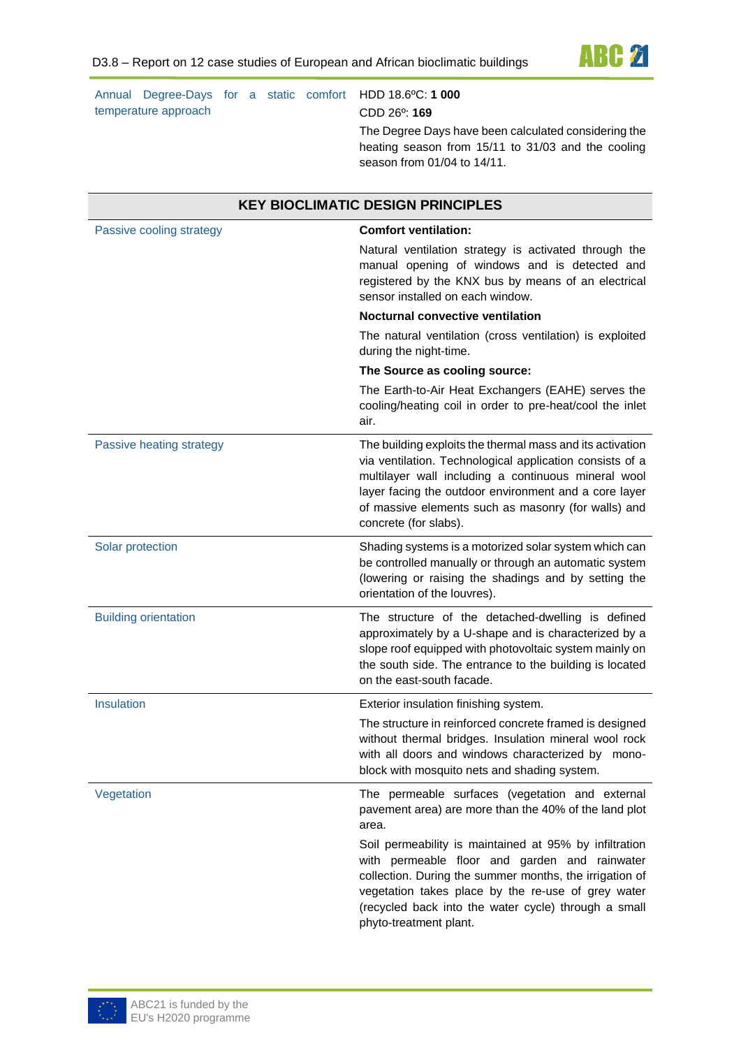

Annual Degree-Days for a static comfort HDD 18.6ºC: **1 000** temperature approach

CDD 26º: **169**

The Degree Days have been calculated considering the heating season from 15/11 to 31/03 and the cooling season from 01/04 to 14/11.

| <b>KEY BIOCLIMATIC DESIGN PRINCIPLES</b> |                                                                                                                                                                                                                                                                                                                       |  |  |
|------------------------------------------|-----------------------------------------------------------------------------------------------------------------------------------------------------------------------------------------------------------------------------------------------------------------------------------------------------------------------|--|--|
| Passive cooling strategy                 | <b>Comfort ventilation:</b><br>Natural ventilation strategy is activated through the<br>manual opening of windows and is detected and<br>registered by the KNX bus by means of an electrical<br>sensor installed on each window.<br><b>Nocturnal convective ventilation</b>                                           |  |  |
|                                          | The natural ventilation (cross ventilation) is exploited<br>during the night-time.<br>The Source as cooling source:                                                                                                                                                                                                   |  |  |
|                                          | The Earth-to-Air Heat Exchangers (EAHE) serves the<br>cooling/heating coil in order to pre-heat/cool the inlet<br>air.                                                                                                                                                                                                |  |  |
| Passive heating strategy                 | The building exploits the thermal mass and its activation<br>via ventilation. Technological application consists of a<br>multilayer wall including a continuous mineral wool<br>layer facing the outdoor environment and a core layer<br>of massive elements such as masonry (for walls) and<br>concrete (for slabs). |  |  |
| Solar protection                         | Shading systems is a motorized solar system which can<br>be controlled manually or through an automatic system<br>(lowering or raising the shadings and by setting the<br>orientation of the louvres).                                                                                                                |  |  |
| <b>Building orientation</b>              | The structure of the detached-dwelling is defined<br>approximately by a U-shape and is characterized by a<br>slope roof equipped with photovoltaic system mainly on<br>the south side. The entrance to the building is located<br>on the east-south facade.                                                           |  |  |
| Insulation                               | Exterior insulation finishing system.                                                                                                                                                                                                                                                                                 |  |  |
|                                          | The structure in reinforced concrete framed is designed<br>without thermal bridges. Insulation mineral wool rock<br>with all doors and windows characterized by mono-<br>block with mosquito nets and shading system.                                                                                                 |  |  |
| Vegetation                               | The permeable surfaces (vegetation and external<br>pavement area) are more than the 40% of the land plot<br>area.                                                                                                                                                                                                     |  |  |
|                                          | Soil permeability is maintained at 95% by infiltration<br>with permeable floor and garden and rainwater<br>collection. During the summer months, the irrigation of<br>vegetation takes place by the re-use of grey water<br>(recycled back into the water cycle) through a small<br>phyto-treatment plant.            |  |  |

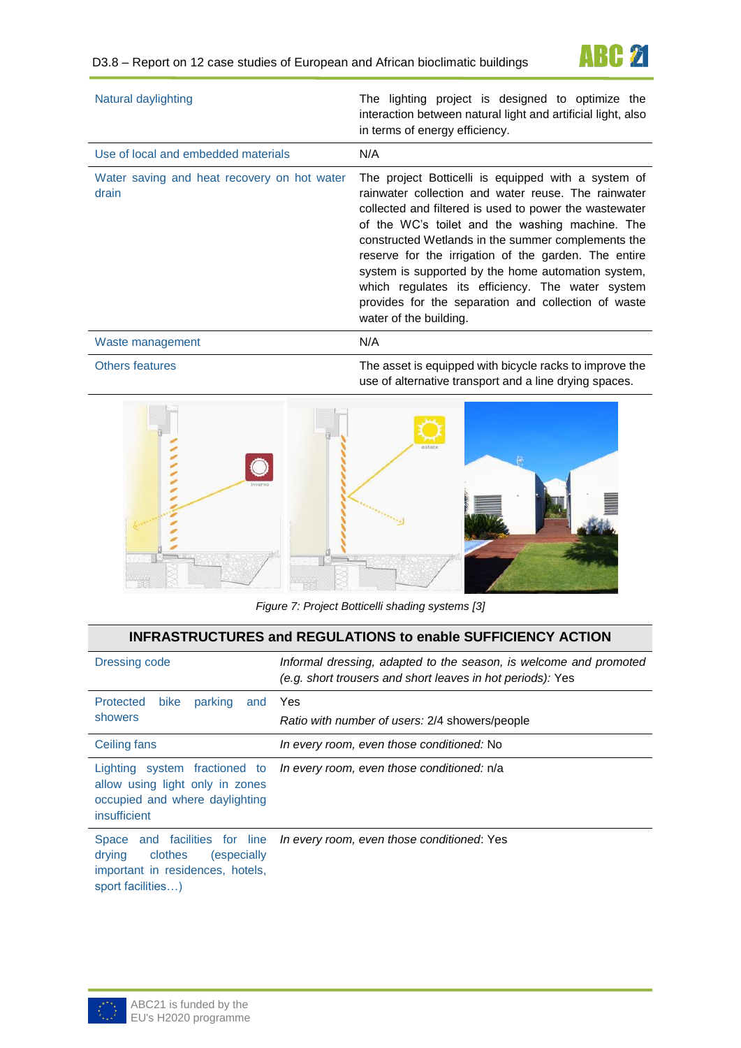

| Natural daylighting                                  | The lighting project is designed to optimize the<br>interaction between natural light and artificial light, also<br>in terms of energy efficiency.                                                                                                                                                                                                                                                                                                                                                                               |
|------------------------------------------------------|----------------------------------------------------------------------------------------------------------------------------------------------------------------------------------------------------------------------------------------------------------------------------------------------------------------------------------------------------------------------------------------------------------------------------------------------------------------------------------------------------------------------------------|
| Use of local and embedded materials                  | N/A                                                                                                                                                                                                                                                                                                                                                                                                                                                                                                                              |
| Water saving and heat recovery on hot water<br>drain | The project Botticelli is equipped with a system of<br>rainwater collection and water reuse. The rainwater<br>collected and filtered is used to power the wastewater<br>of the WC's toilet and the washing machine. The<br>constructed Wetlands in the summer complements the<br>reserve for the irrigation of the garden. The entire<br>system is supported by the home automation system,<br>which regulates its efficiency. The water system<br>provides for the separation and collection of waste<br>water of the building. |
| Waste management                                     | N/A                                                                                                                                                                                                                                                                                                                                                                                                                                                                                                                              |

Others features The asset is equipped with bicycle racks to improve the use of alternative transport and a line drying spaces.



*Figure 7: Project Botticelli shading systems [3]*

| <b>INFRASTRUCTURES and REGULATIONS to enable SUFFICIENCY ACTION</b>                                                         |                                                                                                                                 |  |  |  |
|-----------------------------------------------------------------------------------------------------------------------------|---------------------------------------------------------------------------------------------------------------------------------|--|--|--|
| Dressing code                                                                                                               | Informal dressing, adapted to the season, is welcome and promoted<br>(e.g. short trousers and short leaves in hot periods): Yes |  |  |  |
| Protected<br>parking<br><b>bike</b><br>and                                                                                  | <b>Yes</b>                                                                                                                      |  |  |  |
| showers                                                                                                                     | Ratio with number of users: 2/4 showers/people                                                                                  |  |  |  |
| Ceiling fans                                                                                                                | In every room, even those conditioned: No                                                                                       |  |  |  |
| Lighting system fractioned to<br>allow using light only in zones<br>occupied and where daylighting<br>insufficient          | In every room, even those conditioned: n/a                                                                                      |  |  |  |
| Space and facilities for line<br>clothes<br>drying<br>(especially)<br>important in residences, hotels,<br>sport facilities) | In every room, even those conditioned: Yes                                                                                      |  |  |  |

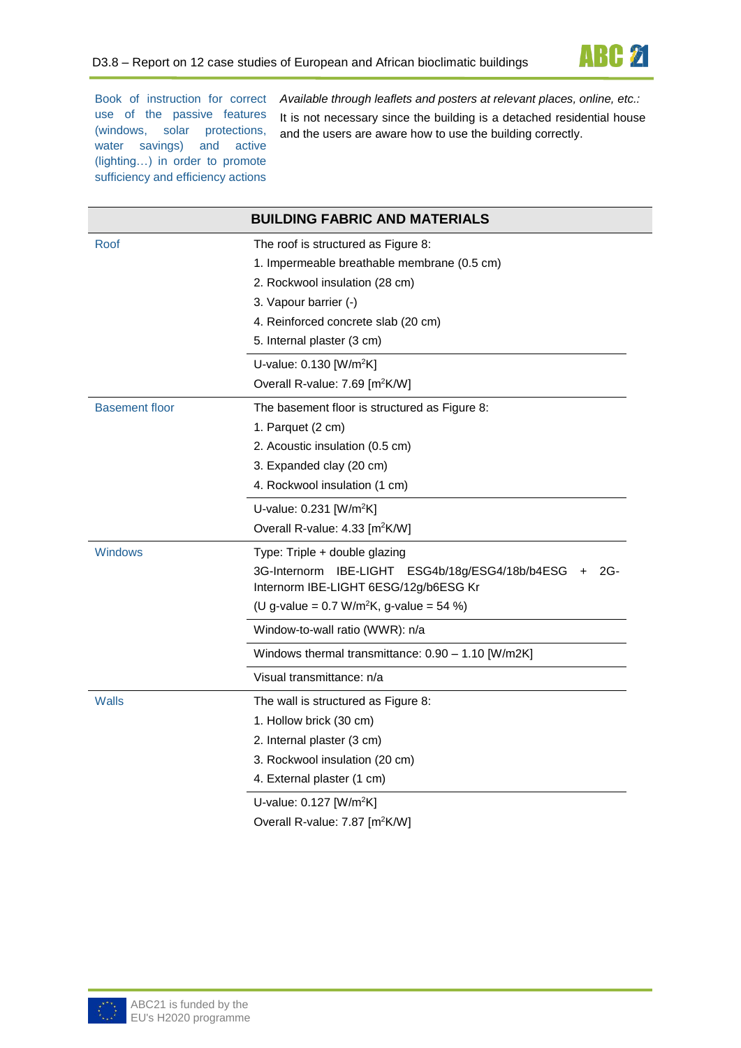

Book of instruction for correct use of the passive features (windows, solar protections, water savings) and active (lighting…) in order to promote sufficiency and efficiency actions

*Available through leaflets and posters at relevant places, online, etc.:*  It is not necessary since the building is a detached residential house and the users are aware how to use the building correctly.

|                       | <b>BUILDING FABRIC AND MATERIALS</b>                                                                 |
|-----------------------|------------------------------------------------------------------------------------------------------|
| Roof                  | The roof is structured as Figure 8:                                                                  |
|                       | 1. Impermeable breathable membrane (0.5 cm)                                                          |
|                       | 2. Rockwool insulation (28 cm)                                                                       |
|                       | 3. Vapour barrier (-)                                                                                |
|                       | 4. Reinforced concrete slab (20 cm)                                                                  |
|                       | 5. Internal plaster (3 cm)                                                                           |
|                       | U-value: 0.130 [W/m <sup>2</sup> K]                                                                  |
|                       | Overall R-value: 7.69 [m <sup>2</sup> K/W]                                                           |
| <b>Basement floor</b> | The basement floor is structured as Figure 8:                                                        |
|                       | 1. Parquet (2 cm)                                                                                    |
|                       | 2. Acoustic insulation (0.5 cm)                                                                      |
|                       | 3. Expanded clay (20 cm)                                                                             |
|                       | 4. Rockwool insulation (1 cm)                                                                        |
|                       | U-value: $0.231$ [W/m <sup>2</sup> K]                                                                |
|                       | Overall R-value: 4.33 [m <sup>2</sup> K/W]                                                           |
| Windows               | Type: Triple + double glazing                                                                        |
|                       | 3G-Internorm<br>IBE-LIGHT ESG4b/18g/ESG4/18b/b4ESG<br>$2G-$<br>Internorm IBE-LIGHT 6ESG/12g/b6ESG Kr |
|                       | (U g-value = $0.7 \text{ W/m}^2$ K, g-value = 54 %)                                                  |
|                       | Window-to-wall ratio (WWR): n/a                                                                      |
|                       | Windows thermal transmittance: 0.90 - 1.10 [W/m2K]                                                   |
|                       | Visual transmittance: n/a                                                                            |
| Walls                 | The wall is structured as Figure 8:                                                                  |
|                       | 1. Hollow brick (30 cm)                                                                              |
|                       | 2. Internal plaster (3 cm)                                                                           |
|                       | 3. Rockwool insulation (20 cm)                                                                       |
|                       | 4. External plaster (1 cm)                                                                           |
|                       | U-value: 0.127 [W/m <sup>2</sup> K]                                                                  |

Overall R-value: 7.87 [m<sup>2</sup>K/W]

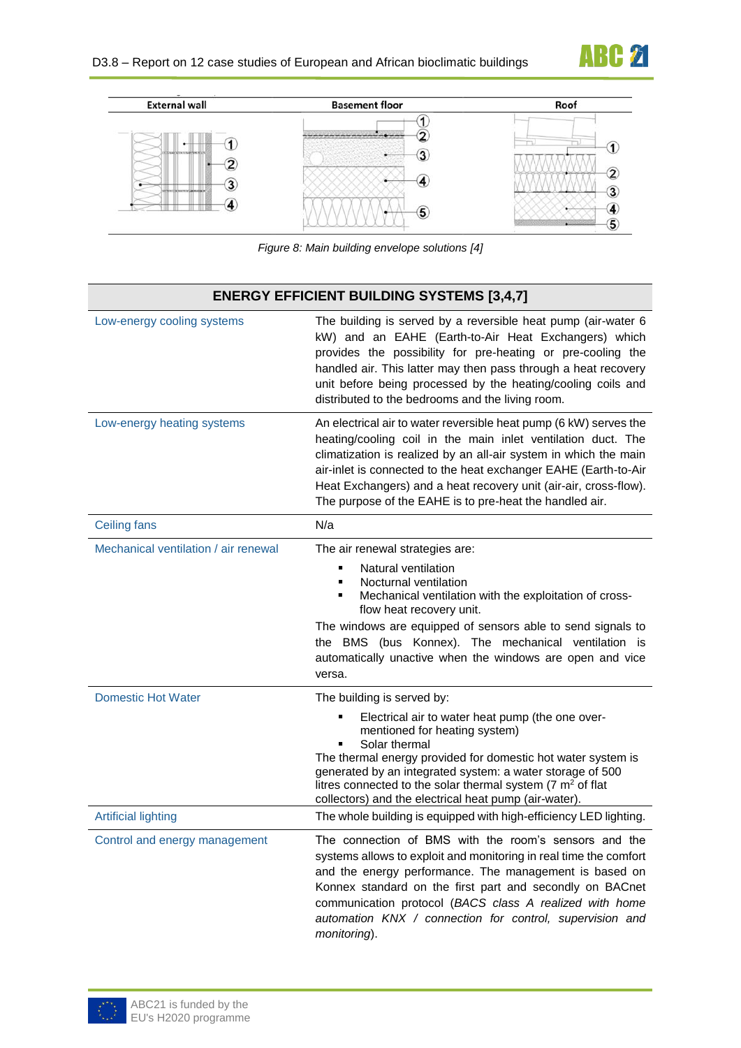



*Figure 8: Main building envelope solutions [4]*

<span id="page-6-0"></span>

| <b>ENERGY EFFICIENT BUILDING SYSTEMS [3,4,7]</b> |                                                                                                                                                                                                                                                                                                                                                                                                            |  |
|--------------------------------------------------|------------------------------------------------------------------------------------------------------------------------------------------------------------------------------------------------------------------------------------------------------------------------------------------------------------------------------------------------------------------------------------------------------------|--|
| Low-energy cooling systems                       | The building is served by a reversible heat pump (air-water 6<br>kW) and an EAHE (Earth-to-Air Heat Exchangers) which<br>provides the possibility for pre-heating or pre-cooling the<br>handled air. This latter may then pass through a heat recovery<br>unit before being processed by the heating/cooling coils and<br>distributed to the bedrooms and the living room.                                 |  |
| Low-energy heating systems                       | An electrical air to water reversible heat pump (6 kW) serves the<br>heating/cooling coil in the main inlet ventilation duct. The<br>climatization is realized by an all-air system in which the main<br>air-inlet is connected to the heat exchanger EAHE (Earth-to-Air<br>Heat Exchangers) and a heat recovery unit (air-air, cross-flow).<br>The purpose of the EAHE is to pre-heat the handled air.    |  |
| <b>Ceiling fans</b>                              | N/a                                                                                                                                                                                                                                                                                                                                                                                                        |  |
| Mechanical ventilation / air renewal             | The air renewal strategies are:<br>Natural ventilation<br>٠<br>Nocturnal ventilation<br>$\blacksquare$<br>Mechanical ventilation with the exploitation of cross-<br>٠<br>flow heat recovery unit.<br>The windows are equipped of sensors able to send signals to<br>the BMS (bus Konnex). The mechanical ventilation is<br>automatically unactive when the windows are open and vice<br>versa.             |  |
| <b>Domestic Hot Water</b>                        | The building is served by:<br>Electrical air to water heat pump (the one over-<br>٠<br>mentioned for heating system)<br>Solar thermal<br>٠<br>The thermal energy provided for domestic hot water system is<br>generated by an integrated system: a water storage of 500<br>litres connected to the solar thermal system ( $7 \text{ m}^2$ of flat<br>collectors) and the electrical heat pump (air-water). |  |
| <b>Artificial lighting</b>                       | The whole building is equipped with high-efficiency LED lighting.                                                                                                                                                                                                                                                                                                                                          |  |
| Control and energy management                    | The connection of BMS with the room's sensors and the<br>systems allows to exploit and monitoring in real time the comfort<br>and the energy performance. The management is based on<br>Konnex standard on the first part and secondly on BACnet<br>communication protocol (BACS class A realized with home<br>automation KNX / connection for control, supervision and<br>monitoring).                    |  |

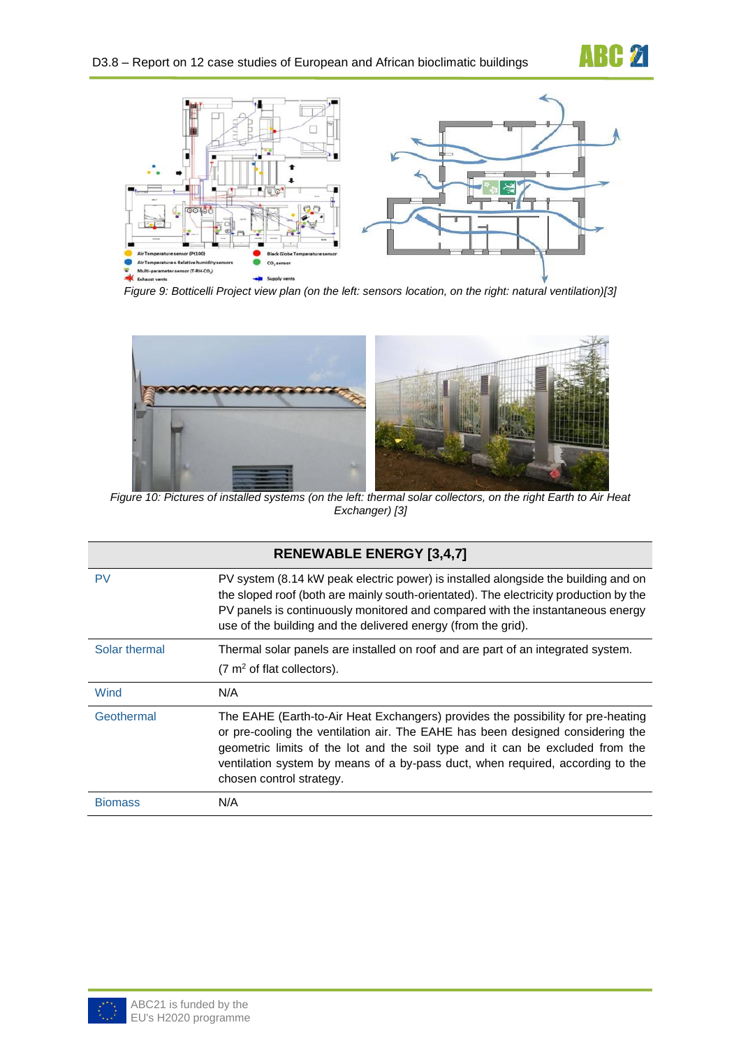

**ABC 21** 

*Figure 9: Botticelli Project view plan (on the left: sensors location, on the right: natural ventilation)[3]*



*Figure 10: Pictures of installed systems (on the left: thermal solar collectors, on the right Earth to Air Heat Exchanger) [3]*

|                | <b>RENEWABLE ENERGY [3,4,7]</b>                                                                                                                                                                                                                                                                                                                                   |
|----------------|-------------------------------------------------------------------------------------------------------------------------------------------------------------------------------------------------------------------------------------------------------------------------------------------------------------------------------------------------------------------|
| <b>PV</b>      | PV system (8.14 kW peak electric power) is installed alongside the building and on<br>the sloped roof (both are mainly south-orientated). The electricity production by the<br>PV panels is continuously monitored and compared with the instantaneous energy<br>use of the building and the delivered energy (from the grid).                                    |
| Solar thermal  | Thermal solar panels are installed on roof and are part of an integrated system.<br>$(7 \text{ m}^2 \text{ of flat collections}).$                                                                                                                                                                                                                                |
| Wind           | N/A                                                                                                                                                                                                                                                                                                                                                               |
| Geothermal     | The EAHE (Earth-to-Air Heat Exchangers) provides the possibility for pre-heating<br>or pre-cooling the ventilation air. The EAHE has been designed considering the<br>geometric limits of the lot and the soil type and it can be excluded from the<br>ventilation system by means of a by-pass duct, when required, according to the<br>chosen control strategy. |
| <b>Biomass</b> | N/A                                                                                                                                                                                                                                                                                                                                                               |

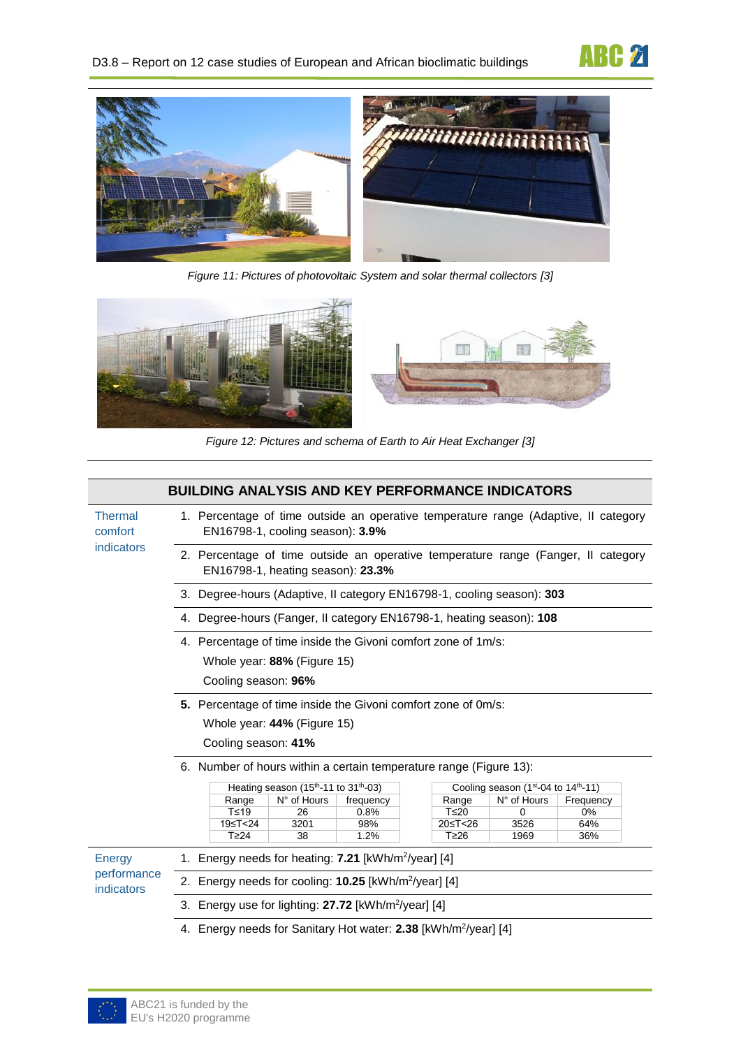



*Figure 11: Pictures of photovoltaic System and solar thermal collectors [3]*



*Figure 12: Pictures and schema of Earth to Air Heat Exchanger [3]*

|                           | <b>BUILDING ANALYSIS AND KEY PERFORMANCE INDICATORS</b>                                                                 |           |             |                                    |           |  |
|---------------------------|-------------------------------------------------------------------------------------------------------------------------|-----------|-------------|------------------------------------|-----------|--|
| <b>Thermal</b><br>comfort | 1. Percentage of time outside an operative temperature range (Adaptive, II category<br>EN16798-1, cooling season): 3.9% |           |             |                                    |           |  |
| indicators                | 2. Percentage of time outside an operative temperature range (Fanger, II category<br>EN16798-1, heating season): 23.3%  |           |             |                                    |           |  |
|                           | 3. Degree-hours (Adaptive, Il category EN16798-1, cooling season): 303                                                  |           |             |                                    |           |  |
|                           | 4. Degree-hours (Fanger, II category EN16798-1, heating season): 108                                                    |           |             |                                    |           |  |
|                           | 4. Percentage of time inside the Givoni comfort zone of 1m/s:<br>Whole year: 88% (Figure 15)<br>Cooling season: 96%     |           |             |                                    |           |  |
|                           | 5. Percentage of time inside the Givoni comfort zone of 0m/s:<br>Whole year: 44% (Figure 15)<br>Cooling season: 41%     |           |             |                                    |           |  |
|                           | 6. Number of hours within a certain temperature range (Figure 13):                                                      |           |             |                                    |           |  |
|                           | Heating season (15 <sup>th</sup> -11 to 31 <sup>th</sup> -03)                                                           |           |             | Cooling season (1st-04 to 14th-11) |           |  |
|                           | N° of Hours<br>Range                                                                                                    | frequency | Range       | N° of Hours                        | Frequency |  |
|                           | $T \leq 19$<br>26                                                                                                       | 0.8%      | $T \leq 20$ | 0                                  | 0%        |  |
|                           | 19≤T<24<br>3201                                                                                                         | 98%       | 20≤T<26     | 3526                               | 64%       |  |
|                           | $T\geq 24$<br>38                                                                                                        | 1.2%      | T≥26        | 1969                               | 36%       |  |
| Energy                    | 1. Energy needs for heating: 7.21 [kWh/m <sup>2</sup> /year] [4]                                                        |           |             |                                    |           |  |
| performance<br>indicators | 2. Energy needs for cooling: 10.25 [kWh/m <sup>2</sup> /year] [4]                                                       |           |             |                                    |           |  |
|                           | 3. Energy use for lighting: 27.72 [kWh/m <sup>2</sup> /year] [4]                                                        |           |             |                                    |           |  |
|                           | 4. Energy needs for Sanitary Hot water: 2.38 [kWh/m <sup>2</sup> /year] [4]                                             |           |             |                                    |           |  |

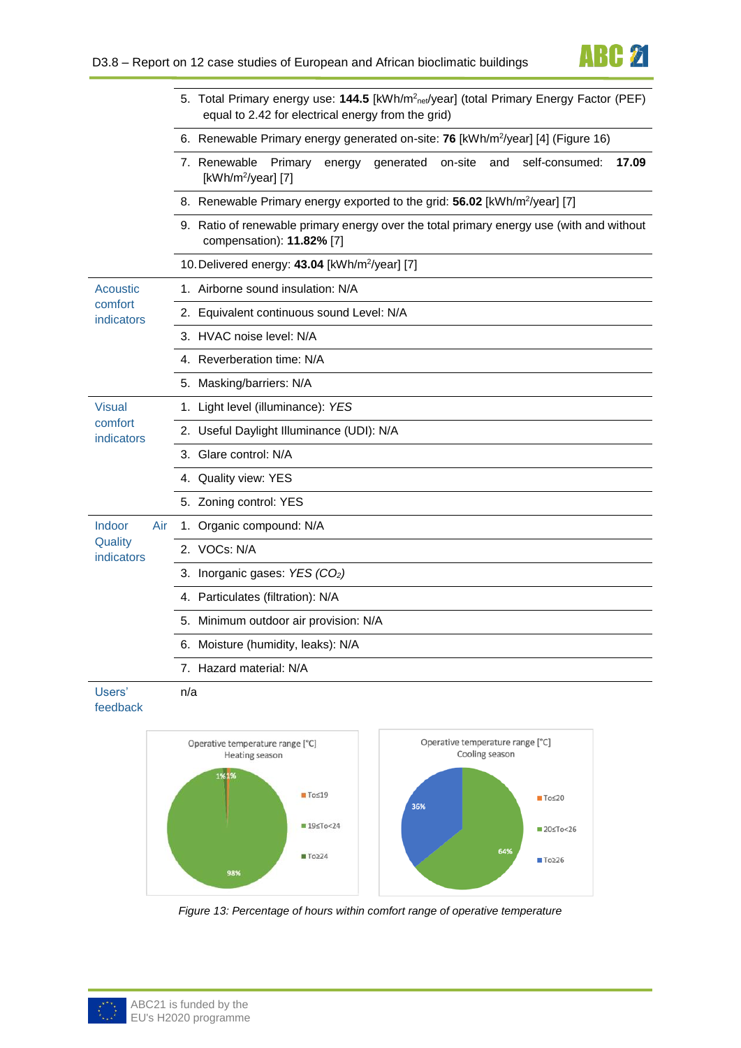

|                       | 5. Total Primary energy use: 144.5 [kWh/m <sup>2</sup> net/year] (total Primary Energy Factor (PEF)<br>equal to 2.42 for electrical energy from the grid) |
|-----------------------|-----------------------------------------------------------------------------------------------------------------------------------------------------------|
|                       | 6. Renewable Primary energy generated on-site: 76 [kWh/m <sup>2</sup> /year] [4] (Figure 16)                                                              |
|                       | 7. Renewable<br>Primary<br>self-consumed:<br>energy<br>generated<br>on-site<br>17.09<br>and<br>[kWh/m <sup>2</sup> /year] [7]                             |
|                       | 8. Renewable Primary energy exported to the grid: 56.02 [kWh/m <sup>2</sup> /year] [7]                                                                    |
|                       | 9. Ratio of renewable primary energy over the total primary energy use (with and without<br>compensation): 11.82% [7]                                     |
|                       | 10. Delivered energy: 43.04 [kWh/m <sup>2</sup> /year] [7]                                                                                                |
| Acoustic              | 1. Airborne sound insulation: N/A                                                                                                                         |
| comfort<br>indicators | 2. Equivalent continuous sound Level: N/A                                                                                                                 |
|                       | 3. HVAC noise level: N/A                                                                                                                                  |
|                       | 4. Reverberation time: N/A                                                                                                                                |
|                       | 5. Masking/barriers: N/A                                                                                                                                  |
| <b>Visual</b>         | 1. Light level (illuminance): YES                                                                                                                         |
| comfort<br>indicators | 2. Useful Daylight Illuminance (UDI): N/A                                                                                                                 |
|                       | 3. Glare control: N/A                                                                                                                                     |
|                       | 4. Quality view: YES                                                                                                                                      |
|                       | 5. Zoning control: YES                                                                                                                                    |
| Indoor<br>Air         | 1. Organic compound: N/A                                                                                                                                  |
| Quality<br>indicators | 2. VOCs: N/A                                                                                                                                              |
|                       | 3. Inorganic gases: YES (CO2)                                                                                                                             |
|                       | 4. Particulates (filtration): N/A                                                                                                                         |
|                       | 5. Minimum outdoor air provision: N/A                                                                                                                     |
|                       | 6. Moisture (humidity, leaks): N/A                                                                                                                        |
|                       | 7. Hazard material: N/A                                                                                                                                   |
| Users'                | n/a                                                                                                                                                       |

feedback



<span id="page-9-0"></span>*Figure 13: Percentage of hours within comfort range of operative temperature*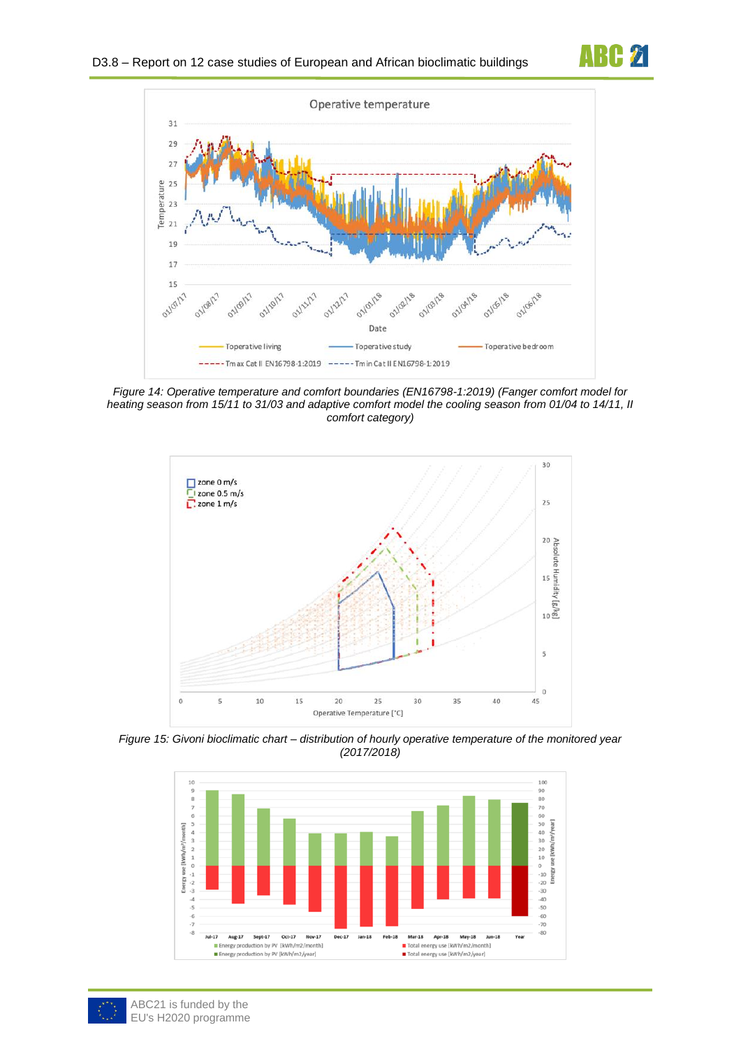



<span id="page-10-1"></span>*Figure 14: Operative temperature and comfort boundaries (EN16798-1:2019) (Fanger comfort model for heating season from 15/11 to 31/03 and adaptive comfort model the cooling season from 01/04 to 14/11, II comfort category)*



<span id="page-10-0"></span>*Figure 15: Givoni bioclimatic chart – distribution of hourly operative temperature of the monitored year (2017/2018)*



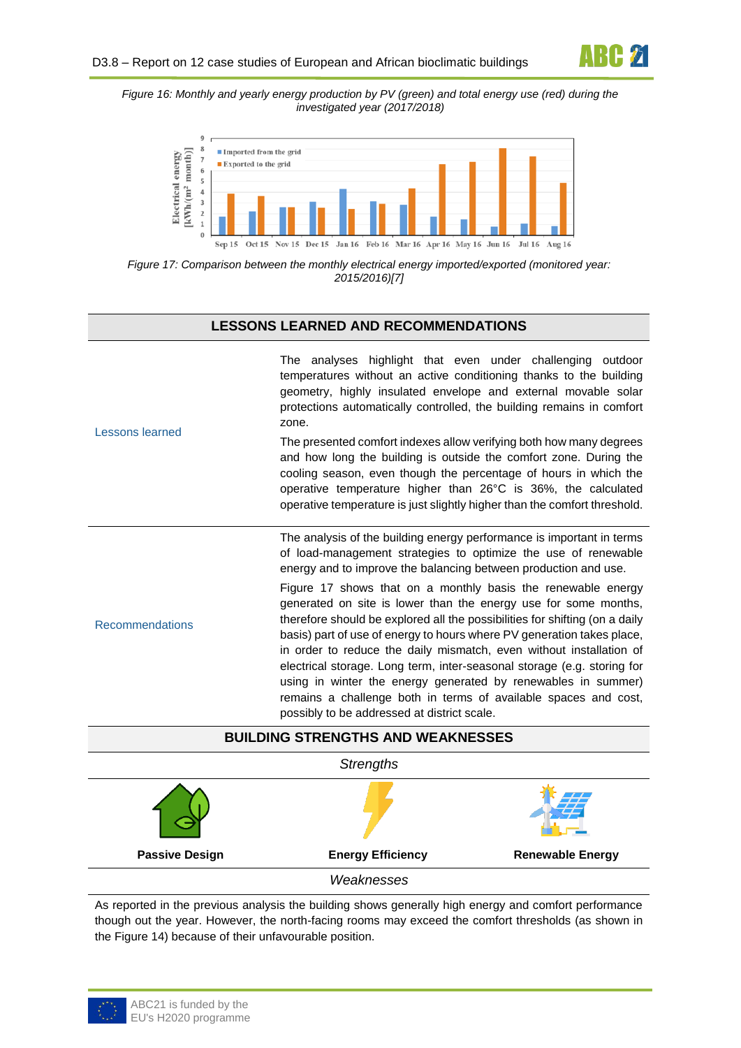<span id="page-11-0"></span>*Figure 16: Monthly and yearly energy production by PV (green) and total energy use (red) during the investigated year (2017/2018)*



<span id="page-11-1"></span>*Figure 17: Comparison between the monthly electrical energy imported/exported (monitored year: 2015/2016)[7]*

#### **LESSONS LEARNED AND RECOMMENDATIONS**

|                                          | The analyses highlight that even under challenging outdoor<br>temperatures without an active conditioning thanks to the building<br>geometry, highly insulated envelope and external movable solar<br>protections automatically controlled, the building remains in comfort<br>zone.                                                                                                                                                                                                                                                                                                                                          |  |
|------------------------------------------|-------------------------------------------------------------------------------------------------------------------------------------------------------------------------------------------------------------------------------------------------------------------------------------------------------------------------------------------------------------------------------------------------------------------------------------------------------------------------------------------------------------------------------------------------------------------------------------------------------------------------------|--|
| Lessons learned                          | The presented comfort indexes allow verifying both how many degrees<br>and how long the building is outside the comfort zone. During the<br>cooling season, even though the percentage of hours in which the<br>operative temperature higher than 26°C is 36%, the calculated<br>operative temperature is just slightly higher than the comfort threshold.                                                                                                                                                                                                                                                                    |  |
|                                          | The analysis of the building energy performance is important in terms<br>of load-management strategies to optimize the use of renewable<br>energy and to improve the balancing between production and use.                                                                                                                                                                                                                                                                                                                                                                                                                    |  |
| <b>Recommendations</b>                   | Figure 17 shows that on a monthly basis the renewable energy<br>generated on site is lower than the energy use for some months,<br>therefore should be explored all the possibilities for shifting (on a daily<br>basis) part of use of energy to hours where PV generation takes place,<br>in order to reduce the daily mismatch, even without installation of<br>electrical storage. Long term, inter-seasonal storage (e.g. storing for<br>using in winter the energy generated by renewables in summer)<br>remains a challenge both in terms of available spaces and cost,<br>possibly to be addressed at district scale. |  |
| <b>BUILDING STRENGTHS AND WEAKNESSES</b> |                                                                                                                                                                                                                                                                                                                                                                                                                                                                                                                                                                                                                               |  |
| $Q_{\text{total}}$                       |                                                                                                                                                                                                                                                                                                                                                                                                                                                                                                                                                                                                                               |  |

*Strengths* **Passive Design The Energy Efficiency Channel Burger Renewable Energy** *Weaknesses*

As reported in the previous analysis the building shows generally high energy and comfort performance though out the year. However, the north-facing rooms may exceed the comfort thresholds (as shown in the [Figure 14\)](#page-10-1) because of their unfavourable position.